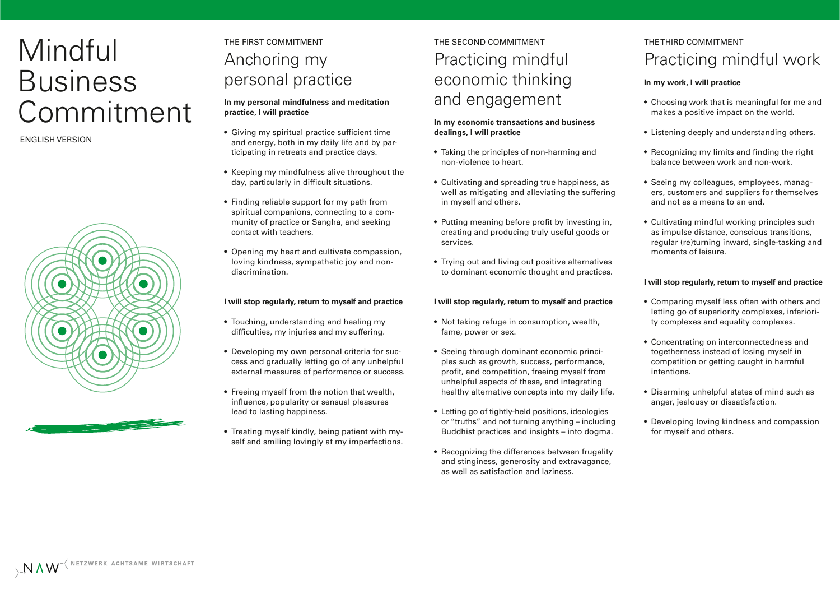# Mindful Business Commitment

ENGLISH VERSION



## THE FIRST COMMITMENT Anchoring my personal practice

### **In my personal mindfulness and meditation practice, I will practice**

- Giving my spiritual practice sufficient time and energy, both in my daily life and by participating in retreats and practice days.
- Keeping my mindfulness alive throughout the day, particularly in difficult situations.
- Finding reliable support for my path from spiritual companions, connecting to a community of practice or Sangha, and seeking contact with teachers.
- Opening my heart and cultivate compassion, loving kindness, sympathetic joy and nondiscrimination.

### **I will stop regularly, return to myself and practice**

- Touching, understanding and healing my difficulties, my injuries and my suffering.
- Developing my own personal criteria for success and gradually letting go of any unhelpful external measures of performance or success.
- Freeing myself from the notion that wealth, influence, popularity or sensual pleasures lead to lasting happiness.
- Treating myself kindly, being patient with myself and smiling lovingly at my imperfections.

# THE SECOND COMMITMENT Practicing mindful economic thinking and engagement

### **In my economic transactions and business dealings, I will practice**

- Taking the principles of non-harming and non-violence to heart.
- Cultivating and spreading true happiness, as well as mitigating and alleviating the suffering in myself and others.
- Putting meaning before profit by investing in, creating and producing truly useful goods or services.
- Trying out and living out positive alternatives to dominant economic thought and practices.

### **I will stop regularly, return to myself and practice**

- Not taking refuge in consumption, wealth, fame, power or sex.
- Seeing through dominant economic principles such as growth, success, performance, profit, and competition, freeing myself from unhelpful aspects of these, and integrating healthy alternative concepts into my daily life.
- Letting go of tightly-held positions, ideologies or "truths" and not turning anything – including Buddhist practices and insights – into dogma.
- Recognizing the differences between frugality and stinginess, generosity and extravagance, as well as satisfaction and laziness.

### THE THIRD COMMITMENT Practicing mindful work

### **In my work, I will practice**

- Choosing work that is meaningful for me and makes a positive impact on the world.
- Listening deeply and understanding others.
- Recognizing my limits and finding the right balance between work and non-work.
- Seeing my colleagues, employees, managers, customers and suppliers for themselves and not as a means to an end.
- Cultivating mindful working principles such as impulse distance, conscious transitions, regular (re)turning inward, single-tasking and moments of leisure.

### **I will stop regularly, return to myself and practice**

- Comparing myself less often with others and letting go of superiority complexes, inferiority complexes and equality complexes.
- Concentrating on interconnectedness and togetherness instead of losing myself in competition or getting caught in harmful intentions.
- Disarming unhelpful states of mind such as anger, jealousy or dissatisfaction.
- Developing loving kindness and compassion for myself and others.